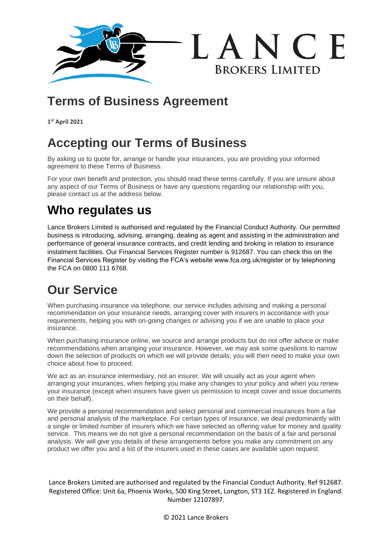

## **Terms of Business Agreement**

**1 st April 2021**

## **Accepting our Terms of Business**

By asking us to quote for, arrange or handle your insurances, you are providing your informed agreement to these Terms of Business.

For your own benefit and protection, you should read these terms carefully. If you are unsure about any aspect of our Terms of Business or have any questions regarding our relationship with you, please contact us at the address below.

# **Who regulates us**

Lance Brokers Limited is authorised and regulated by the Financial Conduct Authority. Our permitted business is introducing, advising, arranging, dealing as agent and assisting in the administration and performance of general insurance contracts, and credit lending and broking in relation to insurance instalment facilities. Our Financial Services Register number is 912687. You can check this on the Financial Services Register by visiting the FCA's website www.fca.org.uk/register or by telephoning the FCA on 0800 111 6768.

# **Our Service**

When purchasing insurance via telephone, our service includes advising and making a personal recommendation on your insurance needs, arranging cover with insurers in accordance with your requirements, helping you with on-going changes or advising you if we are unable to place your insurance.

When purchasing insurance online, we source and arrange products but do not offer advice or make recommendations when arranging your insurance. However, we may ask some questions to narrow down the selection of products on which we will provide details; you will then need to make your own choice about how to proceed.

We act as an insurance intermediary, not an insurer. We will usually act as your agent when arranging your insurances, when helping you make any changes to your policy and when you renew your insurance (except when insurers have given us permission to incept cover and issue documents on their behalf).

We provide a personal recommendation and select personal and commercial insurances from a fair and personal analysis of the marketplace. For certain types of insurance, we deal predominantly with a single or limited number of insurers which we have selected as offering value for money and quality service. This means we do not give a personal recommendation on the basis of a fair and personal analysis. We will give you details of these arrangements before you make any commitment on any product we offer you and a list of the insurers used in these cases are available upon request.

Lance Brokers Limited are authorised and regulated by the Financial Conduct Authority. Ref 912687. Registered Office: Unit 6a, Phoenix Works, 500 King Street, Longton, ST3 1EZ. Registered in England. Number 12107897.

© 2021 Lance Brokers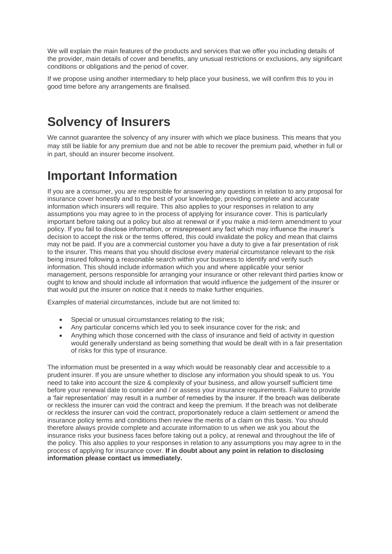We will explain the main features of the products and services that we offer you including details of the provider, main details of cover and benefits, any unusual restrictions or exclusions, any significant conditions or obligations and the period of cover.

If we propose using another intermediary to help place your business, we will confirm this to you in good time before any arrangements are finalised.

#### **Solvency of Insurers**

We cannot guarantee the solvency of any insurer with which we place business. This means that you may still be liable for any premium due and not be able to recover the premium paid, whether in full or in part, should an insurer become insolvent.

## **Important Information**

If you are a consumer, you are responsible for answering any questions in relation to any proposal for insurance cover honestly and to the best of your knowledge, providing complete and accurate information which insurers will require. This also applies to your responses in relation to any assumptions you may agree to in the process of applying for insurance cover. This is particularly important before taking out a policy but also at renewal or if you make a mid-term amendment to your policy. If you fail to disclose information, or misrepresent any fact which may influence the insurer's decision to accept the risk or the terms offered, this could invalidate the policy and mean that claims may not be paid. If you are a commercial customer you have a duty to give a fair presentation of risk to the insurer. This means that you should disclose every material circumstance relevant to the risk being insured following a reasonable search within your business to identify and verify such information. This should include information which you and where applicable your senior management, persons responsible for arranging your insurance or other relevant third parties know or ought to know and should include all information that would influence the judgement of the insurer or that would put the insurer on notice that it needs to make further enquiries.

Examples of material circumstances, include but are not limited to:

- Special or unusual circumstances relating to the risk;
- Any particular concerns which led you to seek insurance cover for the risk; and
- Anything which those concerned with the class of insurance and field of activity in question would generally understand as being something that would be dealt with in a fair presentation of risks for this type of insurance.

The information must be presented in a way which would be reasonably clear and accessible to a prudent insurer. If you are unsure whether to disclose any information you should speak to us. You need to take into account the size & complexity of your business, and allow yourself sufficient time before your renewal date to consider and / or assess your insurance requirements. Failure to provide a 'fair representation' may result in a number of remedies by the insurer. If the breach was deliberate or reckless the insurer can void the contract and keep the premium. If the breach was not deliberate or reckless the insurer can void the contract, proportionately reduce a claim settlement or amend the insurance policy terms and conditions then review the merits of a claim on this basis. You should therefore always provide complete and accurate information to us when we ask you about the insurance risks your business faces before taking out a policy, at renewal and throughout the life of the policy. This also applies to your responses in relation to any assumptions you may agree to in the process of applying for insurance cover. **If in doubt about any point in relation to disclosing information please contact us immediately.**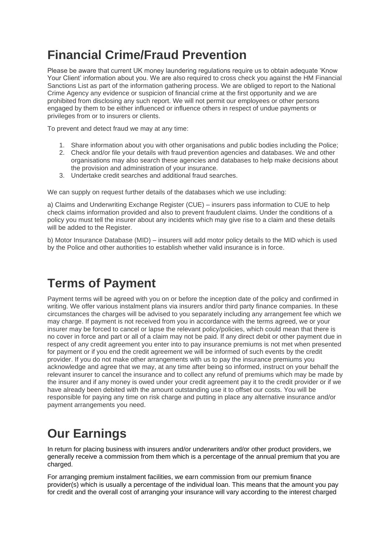## **Financial Crime/Fraud Prevention**

Please be aware that current UK money laundering regulations require us to obtain adequate 'Know Your Client' information about you. We are also required to cross check you against the HM Financial Sanctions List as part of the information gathering process. We are obliged to report to the National Crime Agency any evidence or suspicion of financial crime at the first opportunity and we are prohibited from disclosing any such report. We will not permit our employees or other persons engaged by them to be either influenced or influence others in respect of undue payments or privileges from or to insurers or clients.

To prevent and detect fraud we may at any time:

- 1. Share information about you with other organisations and public bodies including the Police;
- 2. Check and/or file your details with fraud prevention agencies and databases. We and other organisations may also search these agencies and databases to help make decisions about the provision and administration of your insurance.
- 3. Undertake credit searches and additional fraud searches.

We can supply on request further details of the databases which we use including:

a) Claims and Underwriting Exchange Register (CUE) – insurers pass information to CUE to help check claims information provided and also to prevent fraudulent claims. Under the conditions of a policy you must tell the insurer about any incidents which may give rise to a claim and these details will be added to the Register.

b) Motor Insurance Database (MID) – insurers will add motor policy details to the MID which is used by the Police and other authorities to establish whether valid insurance is in force.

## **Terms of Payment**

Payment terms will be agreed with you on or before the inception date of the policy and confirmed in writing. We offer various instalment plans via insurers and/or third party finance companies. In these circumstances the charges will be advised to you separately including any arrangement fee which we may charge. If payment is not received from you in accordance with the terms agreed, we or your insurer may be forced to cancel or lapse the relevant policy/policies, which could mean that there is no cover in force and part or all of a claim may not be paid. If any direct debit or other payment due in respect of any credit agreement you enter into to pay insurance premiums is not met when presented for payment or if you end the credit agreement we will be informed of such events by the credit provider. If you do not make other arrangements with us to pay the insurance premiums you acknowledge and agree that we may, at any time after being so informed, instruct on your behalf the relevant insurer to cancel the insurance and to collect any refund of premiums which may be made by the insurer and if any money is owed under your credit agreement pay it to the credit provider or if we have already been debited with the amount outstanding use it to offset our costs. You will be responsible for paying any time on risk charge and putting in place any alternative insurance and/or payment arrangements you need.

## **Our Earnings**

In return for placing business with insurers and/or underwriters and/or other product providers, we generally receive a commission from them which is a percentage of the annual premium that you are charged.

For arranging premium instalment facilities, we earn commission from our premium finance provider(s) which is usually a percentage of the individual loan. This means that the amount you pay for credit and the overall cost of arranging your insurance will vary according to the interest charged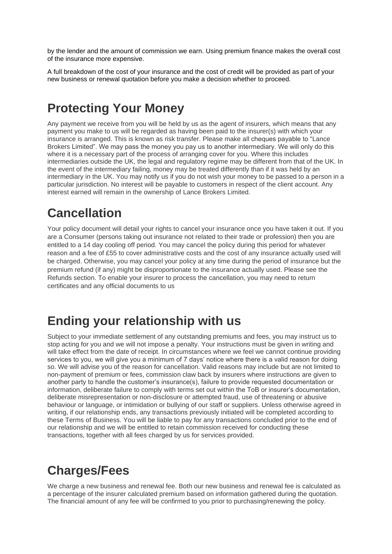by the lender and the amount of commission we earn. Using premium finance makes the overall cost of the insurance more expensive.

A full breakdown of the cost of your insurance and the cost of credit will be provided as part of your new business or renewal quotation before you make a decision whether to proceed.

#### **Protecting Your Money**

Any payment we receive from you will be held by us as the agent of insurers, which means that any payment you make to us will be regarded as having been paid to the insurer(s) with which your insurance is arranged. This is known as risk transfer. Please make all cheques payable to "Lance Brokers Limited". We may pass the money you pay us to another intermediary. We will only do this where it is a necessary part of the process of arranging cover for you. Where this includes intermediaries outside the UK, the legal and regulatory regime may be different from that of the UK. In the event of the intermediary failing, money may be treated differently than if it was held by an intermediary in the UK. You may notify us if you do not wish your money to be passed to a person in a particular jurisdiction. No interest will be payable to customers in respect of the client account. Any interest earned will remain in the ownership of Lance Brokers Limited.

#### **Cancellation**

Your policy document will detail your rights to cancel your insurance once you have taken it out. If you are a Consumer (persons taking out insurance not related to their trade or profession) then you are entitled to a 14 day cooling off period. You may cancel the policy during this period for whatever reason and a fee of £55 to cover administrative costs and the cost of any insurance actually used will be charged. Otherwise, you may cancel your policy at any time during the period of insurance but the premium refund (if any) might be disproportionate to the insurance actually used. Please see the Refunds section. To enable your insurer to process the cancellation, you may need to return certificates and any official documents to us

#### **Ending your relationship with us**

Subject to your immediate settlement of any outstanding premiums and fees, you may instruct us to stop acting for you and we will not impose a penalty. Your instructions must be given in writing and will take effect from the date of receipt. In circumstances where we feel we cannot continue providing services to you, we will give you a minimum of 7 days' notice where there is a valid reason for doing so. We will advise you of the reason for cancellation. Valid reasons may include but are not limited to non-payment of premium or fees, commission claw back by insurers where instructions are given to another party to handle the customer's insurance(s), failure to provide requested documentation or information, deliberate failure to comply with terms set out within the ToB or insurer's documentation, deliberate misrepresentation or non-disclosure or attempted fraud, use of threatening or abusive behaviour or language, or intimidation or bullying of our staff or suppliers. Unless otherwise agreed in writing, if our relationship ends, any transactions previously initiated will be completed according to these Terms of Business. You will be liable to pay for any transactions concluded prior to the end of our relationship and we will be entitled to retain commission received for conducting these transactions, together with all fees charged by us for services provided.

# **Charges/Fees**

We charge a new business and renewal fee. Both our new business and renewal fee is calculated as a percentage of the insurer calculated premium based on information gathered during the quotation. The financial amount of any fee will be confirmed to you prior to purchasing/renewing the policy.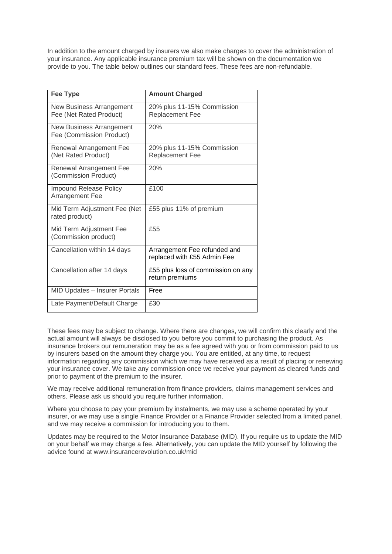In addition to the amount charged by insurers we also make charges to cover the administration of your insurance. Any applicable insurance premium tax will be shown on the documentation we provide to you. The table below outlines our standard fees. These fees are non-refundable.

| <b>Fee Type</b>                                      | <b>Amount Charged</b>                                       |
|------------------------------------------------------|-------------------------------------------------------------|
| New Business Arrangement<br>Fee (Net Rated Product)  | 20% plus 11-15% Commission<br>Replacement Fee               |
| New Business Arrangement<br>Fee (Commission Product) | 20%                                                         |
| Renewal Arrangement Fee<br>(Net Rated Product)       | 20% plus 11-15% Commission<br>Replacement Fee               |
| Renewal Arrangement Fee<br>(Commission Product)      | 20%                                                         |
| Impound Release Policy<br>Arrangement Fee            | £100                                                        |
| Mid Term Adjustment Fee (Net<br>rated product)       | £55 plus 11% of premium                                     |
| Mid Term Adjustment Fee<br>(Commission product)      | £55                                                         |
| Cancellation within 14 days                          | Arrangement Fee refunded and<br>replaced with £55 Admin Fee |
| Cancellation after 14 days                           | £55 plus loss of commission on any<br>return premiums       |
| MID Updates - Insurer Portals                        | Free                                                        |
| Late Payment/Default Charge                          | £30                                                         |

These fees may be subject to change. Where there are changes, we will confirm this clearly and the actual amount will always be disclosed to you before you commit to purchasing the product. As insurance brokers our remuneration may be as a fee agreed with you or from commission paid to us by insurers based on the amount they charge you. You are entitled, at any time, to request information regarding any commission which we may have received as a result of placing or renewing your insurance cover. We take any commission once we receive your payment as cleared funds and prior to payment of the premium to the insurer.

We may receive additional remuneration from finance providers, claims management services and others. Please ask us should you require further information.

Where you choose to pay your premium by instalments, we may use a scheme operated by your insurer, or we may use a single Finance Provider or a Finance Provider selected from a limited panel, and we may receive a commission for introducing you to them.

Updates may be required to the Motor Insurance Database (MID). If you require us to update the MID on your behalf we may charge a fee. Alternatively, you can update the MID yourself by following the advice found at www.insurancerevolution.co.uk/mid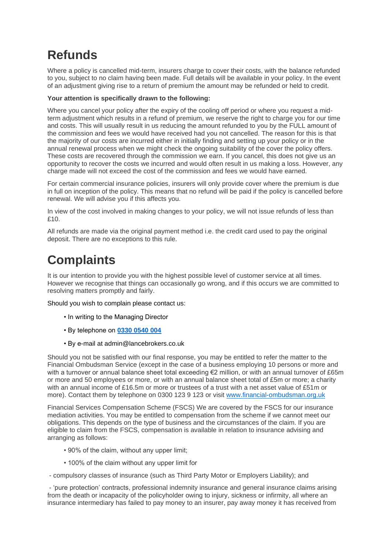## **Refunds**

Where a policy is cancelled mid-term, insurers charge to cover their costs, with the balance refunded to you, subject to no claim having been made. Full details will be available in your policy. In the event of an adjustment giving rise to a return of premium the amount may be refunded or held to credit.

#### **Your attention is specifically drawn to the following:**

Where you cancel your policy after the expiry of the cooling off period or where you request a midterm adjustment which results in a refund of premium, we reserve the right to charge you for our time and costs. This will usually result in us reducing the amount refunded to you by the FULL amount of the commission and fees we would have received had you not cancelled. The reason for this is that the majority of our costs are incurred either in initially finding and setting up your policy or in the annual renewal process when we might check the ongoing suitability of the cover the policy offers. These costs are recovered through the commission we earn. If you cancel, this does not give us an opportunity to recover the costs we incurred and would often result in us making a loss. However, any charge made will not exceed the cost of the commission and fees we would have earned.

For certain commercial insurance policies, insurers will only provide cover where the premium is due in full on inception of the policy. This means that no refund will be paid if the policy is cancelled before renewal. We will advise you if this affects you.

In view of the cost involved in making changes to your policy, we will not issue refunds of less than £10.

All refunds are made via the original payment method i.e. the credit card used to pay the original deposit. There are no exceptions to this rule.

## **Complaints**

It is our intention to provide you with the highest possible level of customer service at all times. However we recognise that things can occasionally go wrong, and if this occurs we are committed to resolving matters promptly and fairly.

Should you wish to complain please contact us:

- In writing to the Managing Director
- By telephone on **[0330 0540 004](tel:03300540004)**
- By e-mail at admin@lancebrokers.co.uk

Should you not be satisfied with our final response, you may be entitled to refer the matter to the Financial Ombudsman Service (except in the case of a business employing 10 persons or more and with a turnover or annual balance sheet total exceeding €2 million, or with an annual turnover of £65m or more and 50 employees or more, or with an annual balance sheet total of £5m or more; a charity with an annual income of £16.5m or more or trustees of a trust with a net asset value of £51m or more). Contact them by telephone on 0300 123 9 123 or visit [www.financial-ombudsman.org.uk](http://www.financial-ombudsman.org.uk/)

Financial Services Compensation Scheme (FSCS) We are covered by the FSCS for our insurance mediation activities. You may be entitled to compensation from the scheme if we cannot meet our obligations. This depends on the type of business and the circumstances of the claim. If you are eligible to claim from the FSCS, compensation is available in relation to insurance advising and arranging as follows:

- 90% of the claim, without any upper limit;
- 100% of the claim without any upper limit for

- compulsory classes of insurance (such as Third Party Motor or Employers Liability); and

- 'pure protection' contracts, professional indemnity insurance and general insurance claims arising from the death or incapacity of the policyholder owing to injury, sickness or infirmity, all where an insurance intermediary has failed to pay money to an insurer, pay away money it has received from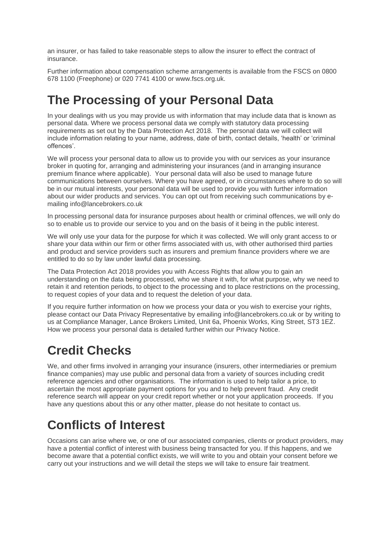an insurer, or has failed to take reasonable steps to allow the insurer to effect the contract of insurance.

Further information about compensation scheme arrangements is available from the FSCS on 0800 678 1100 (Freephone) or 020 7741 4100 or www.fscs.org.uk.

## **The Processing of your Personal Data**

In your dealings with us you may provide us with information that may include data that is known as personal data. Where we process personal data we comply with statutory data processing requirements as set out by the Data Protection Act 2018. The personal data we will collect will include information relating to your name, address, date of birth, contact details, 'health' or 'criminal offences'.

We will process your personal data to allow us to provide you with our services as your insurance broker in quoting for, arranging and administering your insurances (and in arranging insurance premium finance where applicable). Your personal data will also be used to manage future communications between ourselves. Where you have agreed, or in circumstances where to do so will be in our mutual interests, your personal data will be used to provide you with further information about our wider products and services. You can opt out from receiving such communications by emailing info@lancebrokers.co.uk

In processing personal data for insurance purposes about health or criminal offences, we will only do so to enable us to provide our service to you and on the basis of it being in the public interest.

We will only use your data for the purpose for which it was collected. We will only grant access to or share your data within our firm or other firms associated with us, with other authorised third parties and product and service providers such as insurers and premium finance providers where we are entitled to do so by law under lawful data processing.

The Data Protection Act 2018 provides you with Access Rights that allow you to gain an understanding on the data being processed, who we share it with, for what purpose, why we need to retain it and retention periods, to object to the processing and to place restrictions on the processing, to request copies of your data and to request the deletion of your data.

If you require further information on how we process your data or you wish to exercise your rights, please contact our Data Privacy Representative by emailing info@lancebrokers.co.uk or by writing to us at Compliance Manager, Lance Brokers Limited, Unit 6a, Phoenix Works, King Street, ST3 1EZ. How we process your personal data is detailed further within our Privacy Notice.

# **Credit Checks**

We, and other firms involved in arranging your insurance (insurers, other intermediaries or premium finance companies) may use public and personal data from a variety of sources including credit reference agencies and other organisations. The information is used to help tailor a price, to ascertain the most appropriate payment options for you and to help prevent fraud. Any credit reference search will appear on your credit report whether or not your application proceeds. If you have any questions about this or any other matter, please do not hesitate to contact us.

# **Conflicts of Interest**

Occasions can arise where we, or one of our associated companies, clients or product providers, may have a potential conflict of interest with business being transacted for you. If this happens, and we become aware that a potential conflict exists, we will write to you and obtain your consent before we carry out your instructions and we will detail the steps we will take to ensure fair treatment.